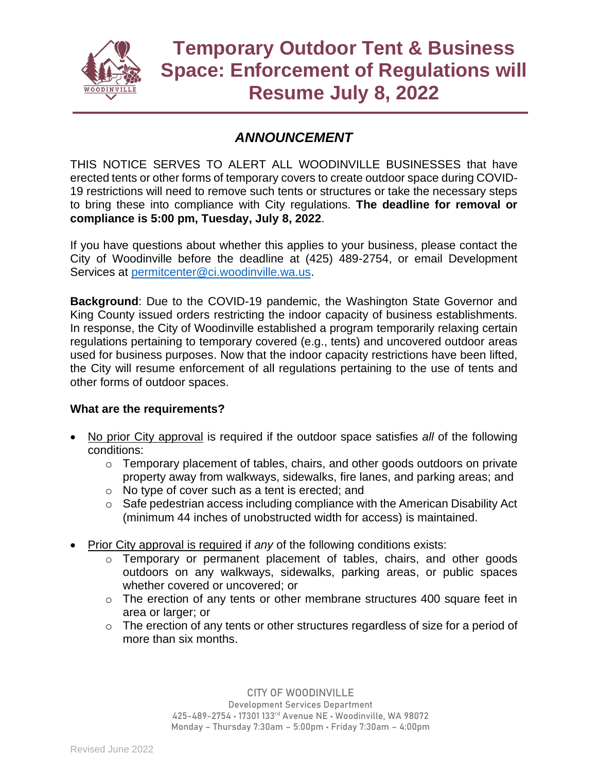

## *ANNOUNCEMENT*

THIS NOTICE SERVES TO ALERT ALL WOODINVILLE BUSINESSES that have erected tents or other forms of temporary covers to create outdoor space during COVID-19 restrictions will need to remove such tents or structures or take the necessary steps to bring these into compliance with City regulations. **The deadline for removal or compliance is 5:00 pm, Tuesday, July 8, 2022**.

If you have questions about whether this applies to your business, please contact the City of Woodinville before the deadline at (425) 489-2754, or email Development Services at [permitcenter@ci.woodinville.wa.us.](mailto:permitcenter@ci.woodinville.wa.us)

**Background**: Due to the COVID-19 pandemic, the Washington State Governor and King County issued orders restricting the indoor capacity of business establishments. In response, the City of Woodinville established a program temporarily relaxing certain regulations pertaining to temporary covered (e.g., tents) and uncovered outdoor areas used for business purposes. Now that the indoor capacity restrictions have been lifted, the City will resume enforcement of all regulations pertaining to the use of tents and other forms of outdoor spaces.

## **What are the requirements?**

- No prior City approval is required if the outdoor space satisfies *all* of the following conditions:
	- o Temporary placement of tables, chairs, and other goods outdoors on private property away from walkways, sidewalks, fire lanes, and parking areas; and
	- o No type of cover such as a tent is erected; and
	- o Safe pedestrian access including compliance with the American Disability Act (minimum 44 inches of unobstructed width for access) is maintained.
- Prior City approval is required if *any* of the following conditions exists:
	- o Temporary or permanent placement of tables, chairs, and other goods outdoors on any walkways, sidewalks, parking areas, or public spaces whether covered or uncovered; or
	- o The erection of any tents or other membrane structures 400 square feet in area or larger; or
	- $\circ$  The erection of any tents or other structures regardless of size for a period of more than six months.